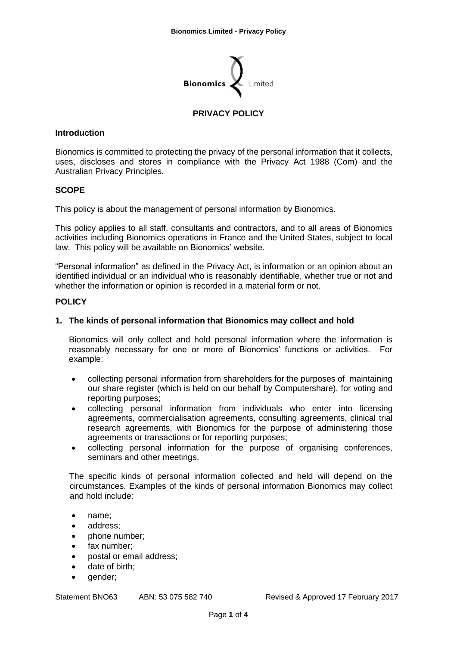

# **PRIVACY POLICY**

## **Introduction**

Bionomics is committed to protecting the privacy of the personal information that it collects, uses, discloses and stores in compliance with the Privacy Act 1988 (Com) and the Australian Privacy Principles.

## **SCOPE**

This policy is about the management of personal information by Bionomics.

This policy applies to all staff, consultants and contractors, and to all areas of Bionomics activities including Bionomics operations in France and the United States, subject to local law. This policy will be available on Bionomics' website.

"Personal information" as defined in the Privacy Act, is information or an opinion about an identified individual or an individual who is reasonably identifiable, whether true or not and whether the information or opinion is recorded in a material form or not.

#### **POLICY**

## **1. The kinds of personal information that Bionomics may collect and hold**

Bionomics will only collect and hold personal information where the information is reasonably necessary for one or more of Bionomics' functions or activities. For example:

- collecting personal information from shareholders for the purposes of maintaining our share register (which is held on our behalf by Computershare), for voting and reporting purposes;
- collecting personal information from individuals who enter into licensing agreements, commercialisation agreements, consulting agreements, clinical trial research agreements, with Bionomics for the purpose of administering those agreements or transactions or for reporting purposes;
- collecting personal information for the purpose of organising conferences, seminars and other meetings.

The specific kinds of personal information collected and held will depend on the circumstances. Examples of the kinds of personal information Bionomics may collect and hold include:

- name:
- address:
- phone number;
- fax number:
- postal or email address;
- date of birth:
- qender:

Statement BNO63 ABN: 53 075 582 740 Revised & Approved 17 February 2017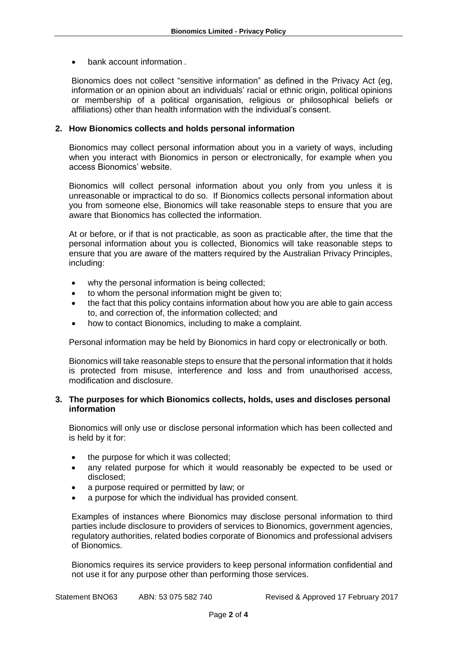• bank account information .

Bionomics does not collect "sensitive information" as defined in the Privacy Act (eg, information or an opinion about an individuals' racial or ethnic origin, political opinions or membership of a political organisation, religious or philosophical beliefs or affiliations) other than health information with the individual's consent.

## **2. How Bionomics collects and holds personal information**

Bionomics may collect personal information about you in a variety of ways, including when you interact with Bionomics in person or electronically, for example when you access Bionomics' website.

Bionomics will collect personal information about you only from you unless it is unreasonable or impractical to do so. If Bionomics collects personal information about you from someone else, Bionomics will take reasonable steps to ensure that you are aware that Bionomics has collected the information.

At or before, or if that is not practicable, as soon as practicable after, the time that the personal information about you is collected, Bionomics will take reasonable steps to ensure that you are aware of the matters required by the Australian Privacy Principles, including:

- why the personal information is being collected;
- to whom the personal information might be given to;
- the fact that this policy contains information about how you are able to gain access to, and correction of, the information collected; and
- how to contact Bionomics, including to make a complaint.

Personal information may be held by Bionomics in hard copy or electronically or both.

Bionomics will take reasonable steps to ensure that the personal information that it holds is protected from misuse, interference and loss and from unauthorised access, modification and disclosure.

## **3. The purposes for which Bionomics collects, holds, uses and discloses personal information**

Bionomics will only use or disclose personal information which has been collected and is held by it for:

- the purpose for which it was collected;
- any related purpose for which it would reasonably be expected to be used or disclosed;
- a purpose required or permitted by law; or
- a purpose for which the individual has provided consent.

Examples of instances where Bionomics may disclose personal information to third parties include disclosure to providers of services to Bionomics, government agencies, regulatory authorities, related bodies corporate of Bionomics and professional advisers of Bionomics.

Bionomics requires its service providers to keep personal information confidential and not use it for any purpose other than performing those services.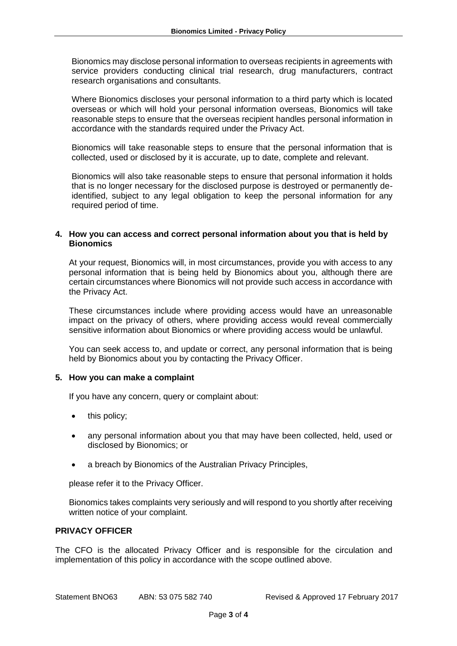Bionomics may disclose personal information to overseas recipients in agreements with service providers conducting clinical trial research, drug manufacturers, contract research organisations and consultants.

Where Bionomics discloses your personal information to a third party which is located overseas or which will hold your personal information overseas, Bionomics will take reasonable steps to ensure that the overseas recipient handles personal information in accordance with the standards required under the Privacy Act.

Bionomics will take reasonable steps to ensure that the personal information that is collected, used or disclosed by it is accurate, up to date, complete and relevant.

Bionomics will also take reasonable steps to ensure that personal information it holds that is no longer necessary for the disclosed purpose is destroyed or permanently deidentified, subject to any legal obligation to keep the personal information for any required period of time.

## **4. How you can access and correct personal information about you that is held by Bionomics**

At your request, Bionomics will, in most circumstances, provide you with access to any personal information that is being held by Bionomics about you, although there are certain circumstances where Bionomics will not provide such access in accordance with the Privacy Act.

These circumstances include where providing access would have an unreasonable impact on the privacy of others, where providing access would reveal commercially sensitive information about Bionomics or where providing access would be unlawful.

You can seek access to, and update or correct, any personal information that is being held by Bionomics about you by contacting the Privacy Officer.

#### **5. How you can make a complaint**

If you have any concern, query or complaint about:

- this policy:
- any personal information about you that may have been collected, held, used or disclosed by Bionomics; or
- a breach by Bionomics of the Australian Privacy Principles,

please refer it to the Privacy Officer.

Bionomics takes complaints very seriously and will respond to you shortly after receiving written notice of your complaint.

#### **PRIVACY OFFICER**

The CFO is the allocated Privacy Officer and is responsible for the circulation and implementation of this policy in accordance with the scope outlined above.

Statement BNO63 ABN: 53 075 582 740 Revised & Approved 17 February 2017